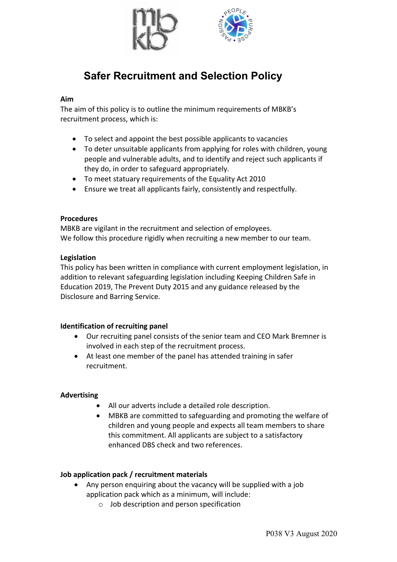

# **Safer Recruitment and Selection Policy**

#### **Aim**

The aim of this policy is to outline the minimum requirements of MBKB's recruitment process, which is:

- To select and appoint the best possible applicants to vacancies
- To deter unsuitable applicants from applying for roles with children, young people and vulnerable adults, and to identify and reject such applicants if they do, in order to safeguard appropriately.
- To meet statuary requirements of the Equality Act 2010
- Ensure we treat all applicants fairly, consistently and respectfully.

#### **Procedures**

MBKB are vigilant in the recruitment and selection of employees. We follow this procedure rigidly when recruiting a new member to our team.

#### **Legislation**

This policy has been written in compliance with current employment legislation, in addition to relevant safeguarding legislation including Keeping Children Safe in Education 2019, The Prevent Duty 2015 and any guidance released by the Disclosure and Barring Service.

#### **Identification of recruiting panel**

- Our recruiting panel consists of the senior team and CEO Mark Bremner is involved in each step of the recruitment process.
- At least one member of the panel has attended training in safer recruitment.

## **Advertising**

- All our adverts include a detailed role description.
- MBKB are committed to safeguarding and promoting the welfare of children and young people and expects all team members to share this commitment. All applicants are subject to a satisfactory enhanced DBS check and two references.

## **Job application pack / recruitment materials**

- Any person enquiring about the vacancy will be supplied with a job application pack which as a minimum, will include:
	- o Job description and person specification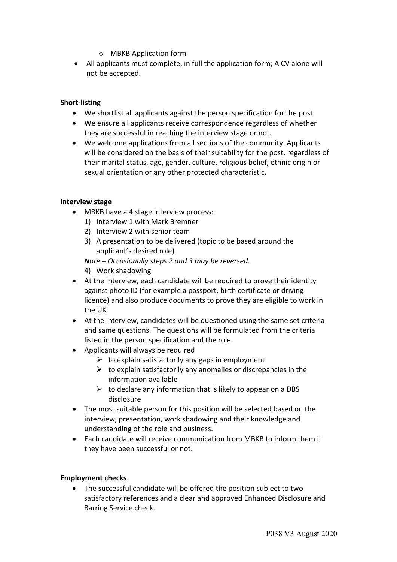- o MBKB Application form
- All applicants must complete, in full the application form; A CV alone will not be accepted.

## **Short-listing**

- We shortlist all applicants against the person specification for the post.
- We ensure all applicants receive correspondence regardless of whether they are successful in reaching the interview stage or not.
- We welcome applications from all sections of the community. Applicants will be considered on the basis of their suitability for the post, regardless of their marital status, age, gender, culture, religious belief, ethnic origin or sexual orientation or any other protected characteristic.

## **Interview stage**

- MBKB have a 4 stage interview process:
	- 1) Interview 1 with Mark Bremner
	- 2) Interview 2 with senior team
	- 3) A presentation to be delivered (topic to be based around the applicant's desired role)
	- *Note – Occasionally steps 2 and 3 may be reversed.*
	- 4) Work shadowing
- At the interview, each candidate will be required to prove their identity against photo ID (for example a passport, birth certificate or driving licence) and also produce documents to prove they are eligible to work in the UK.
- At the interview, candidates will be questioned using the same set criteria and same questions. The questions will be formulated from the criteria listed in the person specification and the role.
- Applicants will always be required
	- $\triangleright$  to explain satisfactorily any gaps in employment
	- $\triangleright$  to explain satisfactorily any anomalies or discrepancies in the information available
	- $\triangleright$  to declare any information that is likely to appear on a DBS disclosure
- The most suitable person for this position will be selected based on the interview, presentation, work shadowing and their knowledge and understanding of the role and business.
- Each candidate will receive communication from MBKB to inform them if they have been successful or not.

## **Employment checks**

• The successful candidate will be offered the position subject to two satisfactory references and a clear and approved Enhanced Disclosure and Barring Service check.